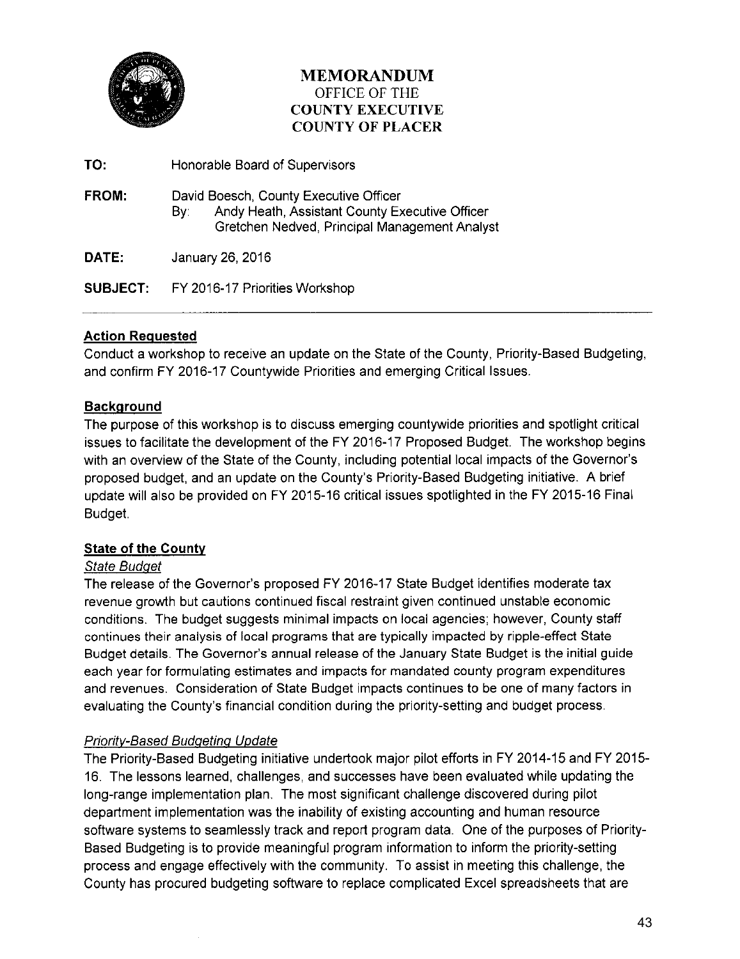

### **MEMORANDUM**  OFFICE OF THE **COUNTY EXECUTIVE COUNTY OF PLACER**

| TO:             | Honorable Board of Supervisors                                                                                                                   |  |
|-----------------|--------------------------------------------------------------------------------------------------------------------------------------------------|--|
| FROM:           | David Boesch, County Executive Officer<br>Andy Heath, Assistant County Executive Officer<br>Bv:<br>Gretchen Nedved, Principal Management Analyst |  |
| DATE:           | January 26, 2016                                                                                                                                 |  |
| <b>SUBJECT:</b> | FY 2016-17 Priorities Workshop                                                                                                                   |  |

### **Action Requested**

Conduct a workshop to receive an update on the State of the County, Priority-Based Budgeting, and confirm FY 2016-17 Countywide Priorities and emerging Critical Issues.

### **Background**

The purpose of this workshop is to discuss emerging countywide priorities and spotlight critical issues to facilitate the development of the FY 2016-17 Proposed Budget. The workshop begins with an overview of the State of the County, including potential local impacts of the Governor's proposed budget, and an update on the County's Priority-Based Budgeting initiative. A brief update will also be provided on FY 2015-16 critical issues spotlighted in the FY 2015-16 Final Budget.

### **State of the County**

### State Budget

The release of the Governor's proposed FY 2016-17 State Budget identifies moderate tax revenue growth but cautions continued fiscal restraint given continued unstable economic conditions. The budget suggests minimal impacts on local agencies; however, County staff continues their analysis of local programs that are typically impacted by ripple-effect State Budget details. The Governor's annual release of the January State Budget is the initial guide each year for formulating estimates and impacts for mandated county program expenditures and revenues. Consideration of State Budget impacts continues to be one of many factors in evaluating the County's financial condition during the priority-setting and budget process.

### Prioritv-Based Budgeting Update

The Priority-Based Budgeting initiative undertook major pilot efforts in FY 2014-15 and FY 2015- 16. The lessons learned, challenges, and successes have been evaluated while updating the long-range implementation plan. The most significant challenge discovered during pilot department implementation was the inability of existing accounting and human resource software systems to seamlessly track and report program data. One of the purposes of Priority-Based Budgeting is to provide meaningful program information to inform the priority-setting process and engage effectively with the community. To assist in meeting this challenge, the County has procured budgeting software to replace complicated Excel spreadsheets that are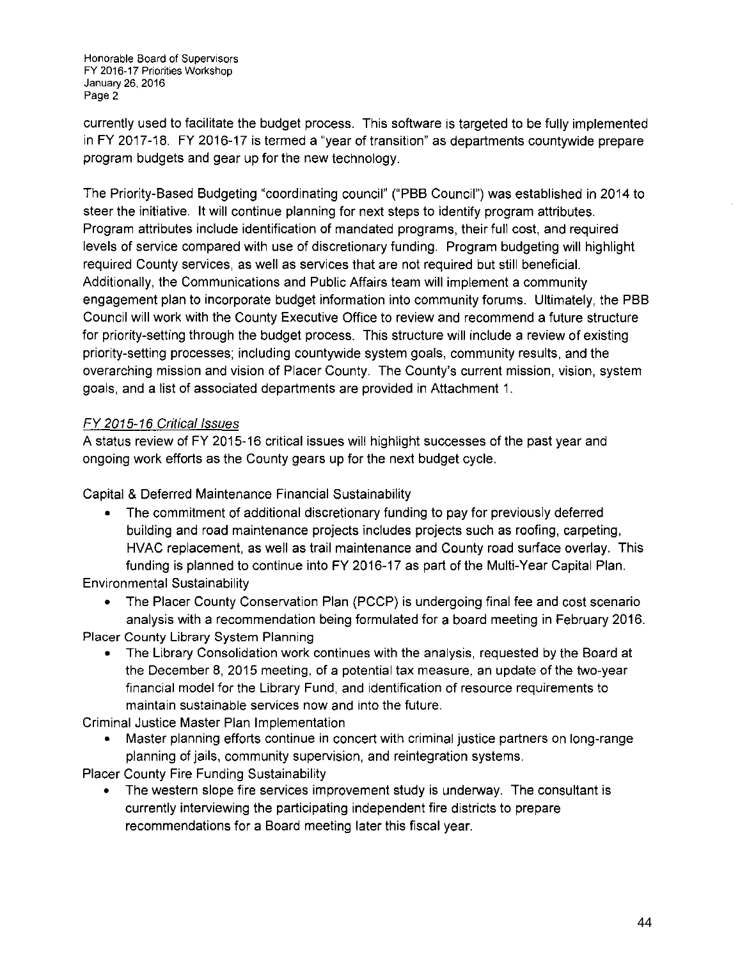Honorable Board of Supervisors FY 2016-17 Priorities Workshop January 26, 2016 Page 2

currently used to facilitate the budget process. This software is targeted to be fully implemented in FY 2017-18. FY 2016-17 is termed a "year of transition" as departments countywide prepare program budgets and gear up for the new technology.

The Priority-Based Budgeting "coordinating council" ("PBB Council") was established in 2014 to steer the initiative. It will continue planning for next steps to identify program attributes. Program attributes include identification of mandated programs, their full cost, and required levels of service compared with use of discretionary funding. Program budgeting will highlight required County services, as well as services that are not required but still beneficial. Additionally, the Communications and Public Affairs team will implement a community engagement plan to incorporate budget information into community forums. Ultimately, the PBS Council will work with the County Executive Office to review and recommend a future structure for priority-setting through the budget process. This structure will include a review of existing priority-setting processes; including countywide system goals, community results, and the overarching mission and vision of Placer County. The County's current mission, vision, system goals, and a list of associated departments are provided in Attachment 1.

### FY 2015-16 Critical Issues

A status review of FY 2015-16 critical issues will highlight successes of the past year and ongoing work efforts as the County gears up for the next budget cycle.

Capital & Deferred Maintenance Financial Sustainability

The commitment of additional discretionary funding to pay for previously deferred building and road maintenance projects includes projects such as roofing, carpeting, HVAC replacement, as well as trail maintenance and County road surface overlay. This funding is planned to continue into FY 2016-17 as part of the Multi-Year Capital Plan.

Environmental Sustainability

• The Placer County Conservation Plan (PCCP) is undergoing final fee and cost scenario analysis with a recommendation being formulated for a board meeting in February 2016. Placer County Library System Planning

• The Library Consolidation work continues with the analysis, requested by the Board at the December 8, 2015 meeting, of a potential tax measure, an update of the two-year financial model for the Library Fund, and identification of resource requirements to maintain sustainable services now and into the future.

Criminal Justice Master Plan Implementation

• Master planning efforts continue in concert with criminal justice partners on long-range planning of jails, community supervision, and reintegration systems.

Placer County Fire Funding Sustainability

• The western slope fire services improvement study is underway. The consultant is currently interviewing the participating independent fire districts to prepare recommendations for a Board meeting later this fiscal year.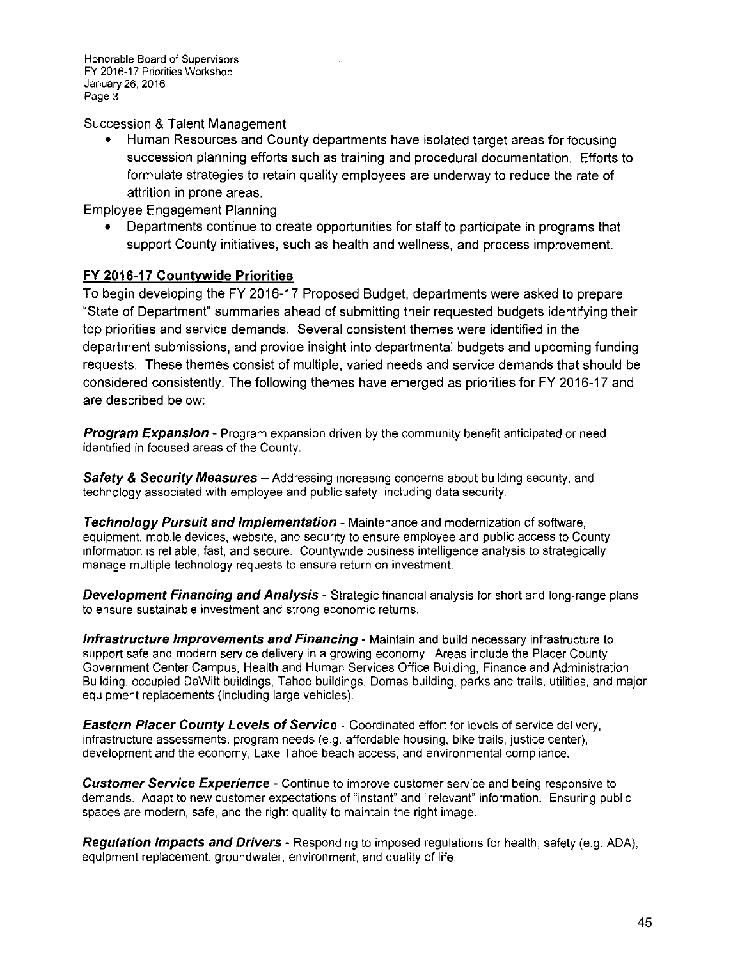**Honorable Board of Supervisors**  FY 2016-17 Priorities Workshop January 26, 2016 Page 3

Succession & Talent Management

• Human Resources and County departments have isolated target areas for focusing succession planning efforts such as training and procedural documentation. Efforts to formulate strategies to retain quality employees are underway to reduce the rate of attrition in prone areas.

Employee Engagement Planning

• Departments continue to create opportunities for staff to participate in programs that support County initiatives, such as health and wellness, and process improvement.

### **FY 2016-17 Countywide Priorities**

To begin developing the FY 2016-17 Proposed Budget, departments were asked to prepare "State of Department" summaries ahead of submitting their requested budgets identifying their top priorities and service demands. Several consistent themes were identified in the department submissions, and provide insight into departmental budgets and upcoming funding requests. These themes consist of multiple, varied needs and service demands that should be considered consistently. The following themes have emerged as priorities for FY 2016-17 and are described below:

**Program Expansion** - Program expansion driven by the community benefit anticipated or need identified in focused areas of the County.

**Safety & Security Measures** – Addressing increasing concerns about building security, and technology associated with employee and public safety, including data security.

**Technology Pursuit and Implementation-** Maintenance and modernization of software, equipment, mobile devices, website, and security to ensure employee and public access to County information is reliable, fast, and secure. Countywide business intelligence analysis to strategically manage multiple technology requests to ensure return on investment.

**Development Financing and Analysis** - Strategic financial analysis for short and long-range plans to ensure sustainable investment and strong economic returns.

**Infrastructure Improvements and Financing-** Maintain and build necessary infrastructure to support safe and modern service delivery in a growing economy. Areas include the Placer County Government Center Campus, Health and Human Services Office Building, Finance and Administration Building, occupied DeWitt buildings, Tahoe buildings, Domes building, parks and trails, utilities, and major equipment replacements (including large vehicles).

**Eastern Placer County Levels of Service-** Coordinated effort for levels of service delivery, infrastructure assessments, program needs (e.g. affordable housing, bike trails, justice center), development and the economy, Lake Tahoe beach access, and environmental compliance.

**Customer Service Experience** - Continue to improve customer service and being responsive to demands. Adapt to new customer expectations of "instant" and "relevant" information. Ensuring public spaces are modern, safe, and the right quality to maintain the right image.

**Regulation Impacts and Drivers-** Responding to imposed regulations for health, safety (e.g. ADA), equipment replacement, groundwater, environment, and quality of life.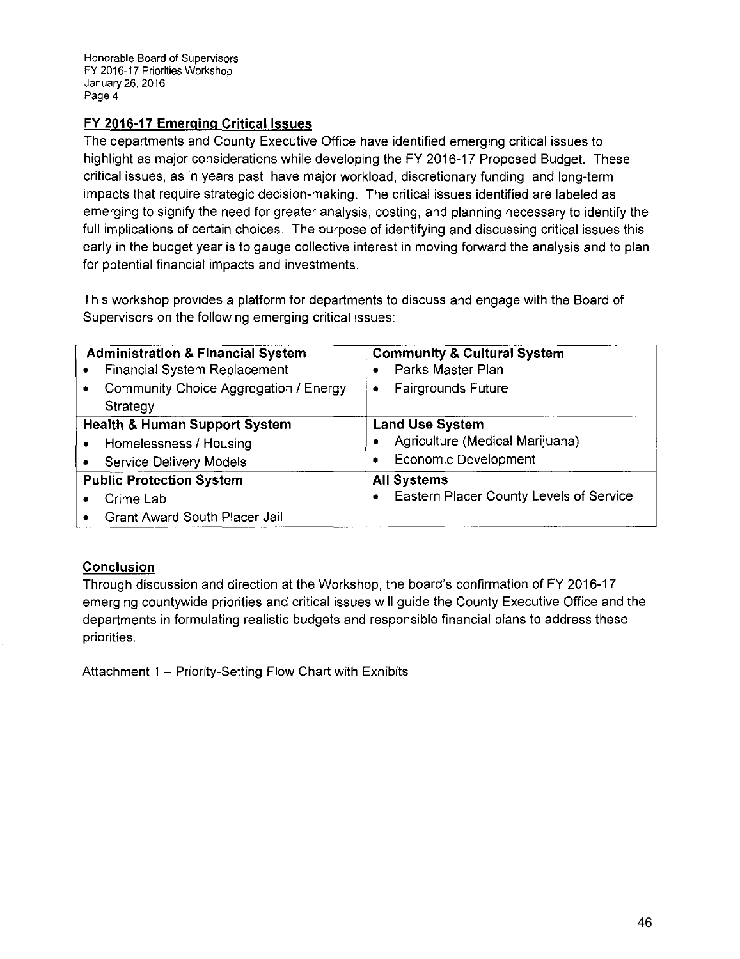Honorable Board of Supervisors FY 2016-17 Priorities Workshop January 26, 2016 Page 4

### **FY 2016-17 Emerging Critical Issues**

The departments and County Executive Office have identified emerging critical issues to highlight as major considerations while developing the FY 2016-17 Proposed Budget. These critical issues, as in years past, have major workload, discretionary funding, and long-term impacts that require strategic decision-making. The critical issues identified are labeled as emerging to signify the need for greater analysis, costing, and planning necessary to identify the full implications of certain choices. The purpose of identifying and discussing critical issues this early in the budget year is to gauge collective interest in moving forward the analysis and to plan for potential financial impacts and investments.

This workshop provides a platform for departments to discuss and engage with the Board of Supervisors on the following emerging critical issues:

| <b>Administration &amp; Financial System</b> | <b>Community &amp; Cultural System</b>  |
|----------------------------------------------|-----------------------------------------|
| Financial System Replacement                 | Parks Master Plan                       |
| Community Choice Aggregation / Energy        | <b>Fairgrounds Future</b>               |
| Strategy                                     | ٠                                       |
| <b>Health &amp; Human Support System</b>     | <b>Land Use System</b>                  |
| Homelessness / Housing                       | Agriculture (Medical Marijuana)         |
| <b>Service Delivery Models</b>               | <b>Economic Development</b>             |
| <b>Public Protection System</b>              | <b>All Systems</b>                      |
| Crime Lab                                    | Eastern Placer County Levels of Service |
| <b>Grant Award South Placer Jail</b>         | $\bullet$                               |

### **Conclusion**

Through discussion and direction at the Workshop, the board's confirmation of FY 2016-17 emerging countywide priorities and critical issues will guide the County Executive Office and the departments in formulating realistic budgets and responsible financial plans to address these priorities.

Attachment 1 - Priority-Setting Flow Chart with Exhibits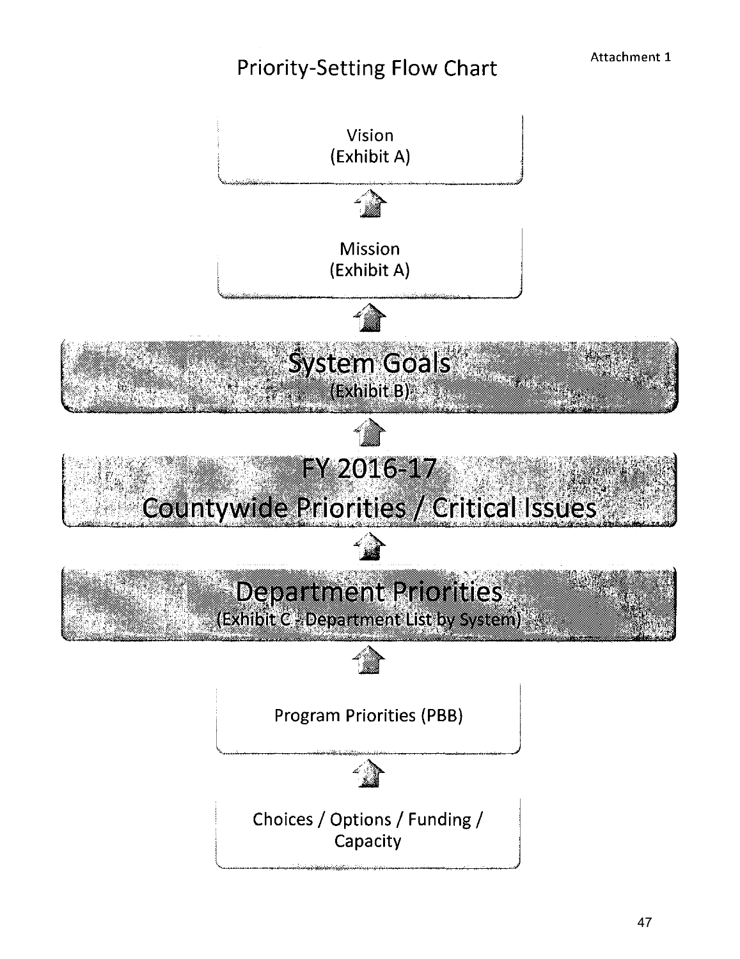### Priority-Setting Flow Chart

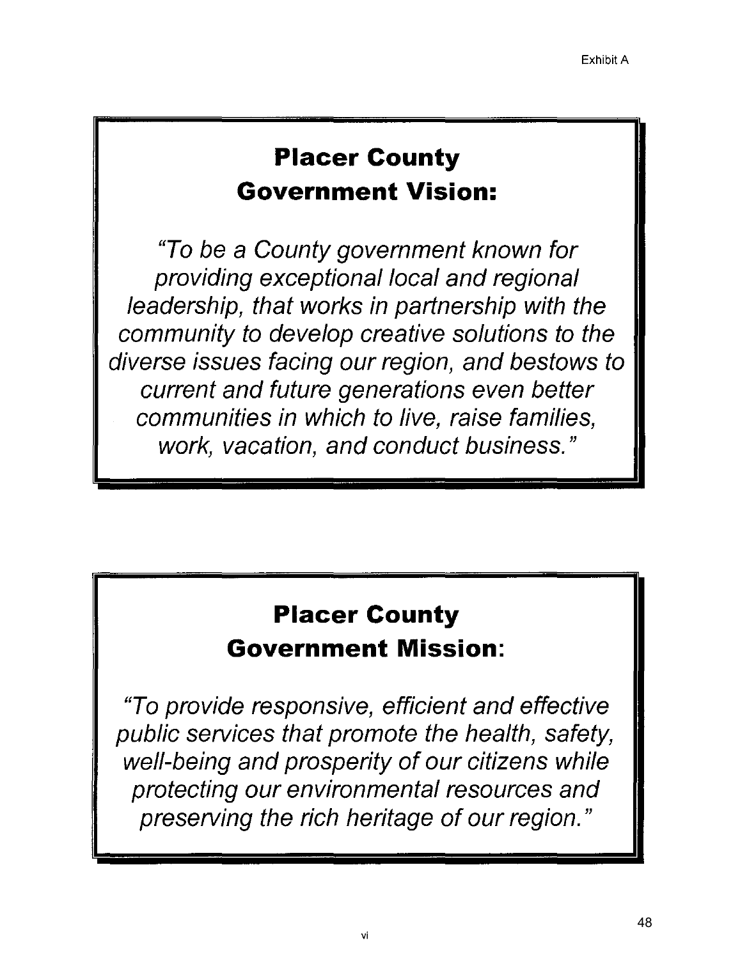## **Placer County Government Vision:**

"To be a County government known for providing exceptional local and regional leadership, that works in partnership with the community to develop creative solutions to the diverse issues facing our region, and bestows to current and future generations even better communities in which to live, raise families, work, vacation, and conduct business."

## **Placer County**

### **Government Mission:**

"To provide responsive, efficient and effective public services that promote the health, safety, well-being and prosperity of our citizens while protecting our environmental resources and preserving the rich heritage of our region."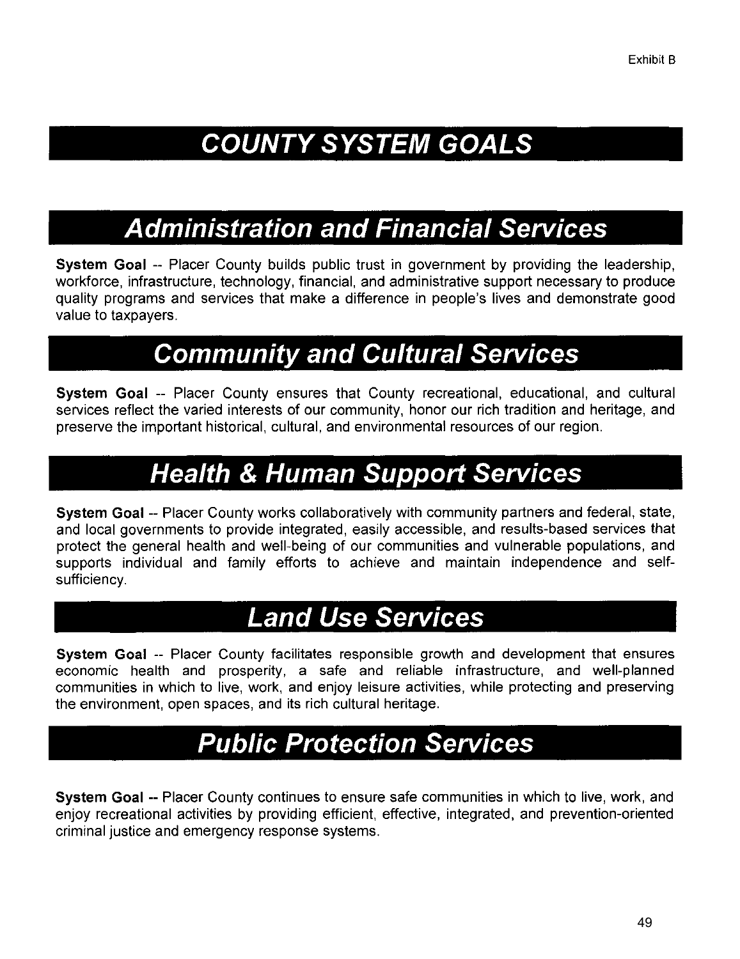# **COUNTY SYSTEM GOALS**

## **Administration and Financial Services**

**System Goal -- Placer County builds public trust in government by providing the leadership,** workforce, infrastructure, technology, financial, and administrative support necessary to produce quality programs and services that make a difference in people's lives and demonstrate good value to taxpayers.

## **Community and Cultural Services**

**System Goal** -- Placer County ensures that County recreational, educational, and cultural services reflect the varied interests of our community, honor our rich tradition and heritage, and preserve the important historical, cultural, and environmental resources of our region.

## **Health & Human Support Services**

**System Goal** -- Placer County works collaboratively with community partners and federal, state, and local governments to provide integrated, easily accessible, and results-based services that protect the general health and well-being of our communities and vulnerable populations, and supports individual and family efforts to achieve and maintain independence and selfsufficiency.

## **Land Use Services**

**System Goal** -- Placer County facilitates responsible growth and development that ensures economic health and prosperity, a safe and reliable infrastructure, and well-planned communities in which to live, work, and enjoy leisure activities, while protecting and preserving the environment, open spaces, and its rich cultural heritage.

## **Public Protection Services**

**System Goal** -- Placer County continues to ensure safe communities in which to live, work, and enjoy recreational activities by providing efficient, effective, integrated, and prevention-oriented criminal justice and emergency response systems.